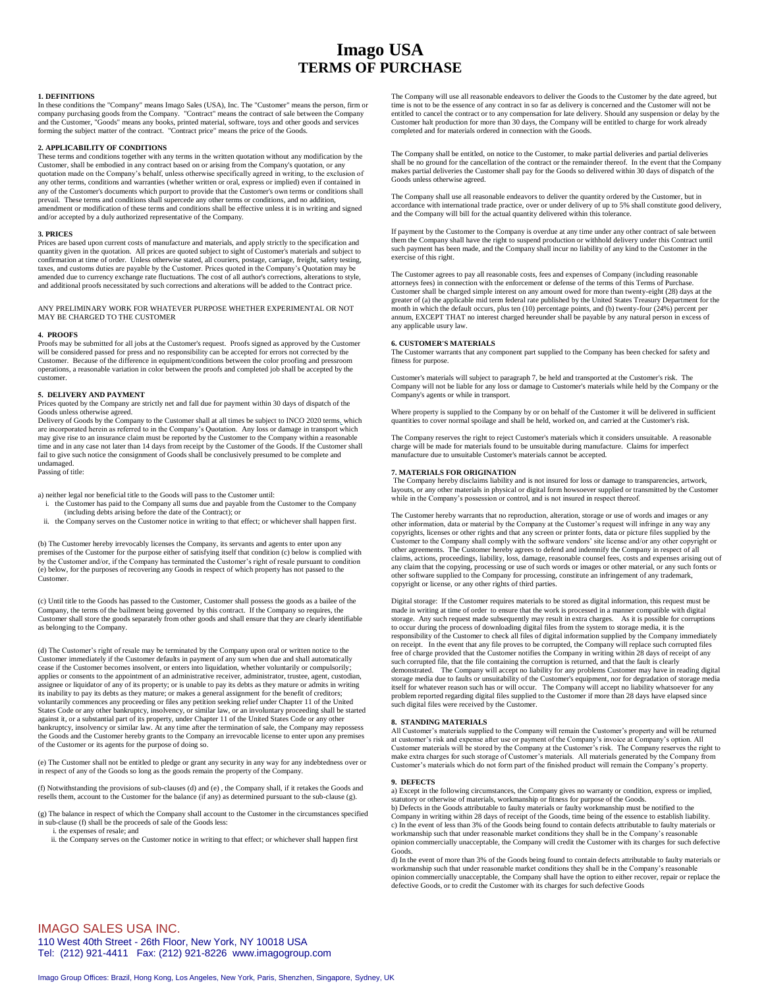# **Imago USA TERMS OF PURCHASE**

# **1. DEFINITIONS**

In these conditions the "Company" means Imago Sales (USA), Inc. The "Customer" means the person, firm or<br>company purchasing goods from the Company. "Contract" means the contract of sale between the Company<br>and the Customer forming the subject matter of the contract. "Contract price" means the price of the Goods

## **2. APPLICABILITY OF CONDITIONS**

These terms and conditions together with any terms in the written quotation without any modification by the Customer, shall be embodied in any contract based on or arising from the Company's quotation, or any quotation made on the Company's behalf, unless otherwise specifically agreed in writing, to the exclusion of any other terms, conditions and warranties (whether written or oral, express or implied) even if contained in any of the Customer's documents which purport to provide that the Customer's own terms or conditions shall prevail. These terms and conditions shall supercede any other terms or conditions, and no addition, amendment or modification of these terms and conditions shall be effective unless it is in writing and signed and/or accepted by a duly authorized representative of the Company.

## **3. PRICES**

Prices are based upon current costs of manufacture and materials, and apply strictly to the specification and quantity given in the quotation. All prices are quoted subject to sight of Customer's materials and subject to confirmation at time of order. Unless otherwise stated, all couriers, postage, carriage, freight, safety testing, taxes, and customs duties are payable by the Customer. Prices quoted in the Company's Quotation may be amended due to currency exchange rate fluctuations. The cost of all author's corrections, alterations to style, and additional proofs necessitated by such corrections and alterations will be added to the Contract price.

ANY PRELIMINARY WORK FOR WHATEVER PURPOSE WHETHER EXPERIMENTAL OR NOT MAY BE CHARGED TO THE CUSTOMER

# **4. PROOFS**

Proofs may be submitted for all jobs at the Customer's request. Proofs signed as approved by the Customer will be considered passed for press and no responsibility can be accepted for errors not corrected by the Customer. Because of the difference in equipment/conditions between the color proofing and pressroom operations, a reasonable variation in color between the proofs and completed job shall be accepted by the customer.

## **5. DELIVERY AND PAYMENT**

Prices quoted by the Company are strictly net and fall due for payment within 30 days of dispatch of the Goods unless otherwise agreed.

Delivery of Goods by the Company to the Customer shall at all times be subject to INCO 2020 terms, which are incorporated herein as referred to in the Company's Quotation. Any loss or damage in transport which may give rise to an insurance claim must be reported by the Customer to the Company within a reasonable time and in any case not later than 14 days from receipt by the Customer of the Goods. If the Customer shall fail to give such notice the consignment of Goods shall be conclusively presumed to be complete and undamaged.

Passing of title:

- a) neither legal nor beneficial title to the Goods will pass to the Customer until: i. the Customer has paid to the Company all sums due and payable from the Customer to the Company (including debts arising before the date of the Contract); or
- ii. the Company serves on the Customer notice in writing to that effect; or whichever shall happen first.

(b) The Customer hereby irrevocably licenses the Company, its servants and agents to enter upon any premises of the Customer for the purpose either of satisfying itself that condition (c) below is complied with by the Customer and/or, if the Company has terminated the Customer's right of resale pursuant to condition (e) below, for the purposes of recovering any Goods in respect of which property has not passed to the Customer.

(c) Until title to the Goods has passed to the Customer, Customer shall possess the goods as a bailee of the Company, the terms of the bailment being governed by this contract. If the Company so requires, the Customer shall store the goods separately from other goods and shall ensure that they are clearly identifiable as belonging to the Company.

(d) The Customer's right of resale may be terminated by the Company upon oral or written notice to the Customer immediately if the Customer defaults in payment of any sum when due and shall automatically cease if the Customer becomes insolvent, or enters into liquidation, whether voluntarily or compulsorily; applies or consents to the appointment of an administrative receiver, administrator, trustee, agent, custodian, assignee or liquidator of any of its property; or is unable to pay its debts as they mature or admits in writing its inability to pay its debts as they mature; or makes a general assignment for the benefit of creditors; voluntarily commences any proceeding or files any petition seeking relief under Chapter 11 of the United States Code or any other bankruptcy, insolvency, or similar law, or an involuntary proceeding shall be started against it, or a substantial part of its property, under Chapter 11 of the United States Code or any other bankruptcy, insolvency or similar law. At any time after the termination of sale, the Company may repossess the Goods and the Customer hereby grants to the Company an irrevocable license to enter upon any premises of the Customer or its agents for the purpose of doing so.

(e) The Customer shall not be entitled to pledge or grant any security in any way for any indebtedness over or in respect of any of the Goods so long as the goods remain the property of the Company.

(f) Notwithstanding the provisions of sub-clauses (d) and (e) , the Company shall, if it retakes the Goods and resells them, account to the Customer for the balance (if any) as determined pursuant to the sub-clause (g).

(g) The balance in respect of which the Company shall account to the Customer in the circumstances specified in sub-clause (f) shall be the proceeds of sale of the Goods less: i. the expenses of resale; and

ii. the Company serves on the Customer notice in writing to that effect; or whichever shall happen first

The Company will use all reasonable endeavors to deliver the Goods to the Customer by the date agreed, but time is not to be the essence of any contract in so far as delivery is concerned and the Customer will not be entitled to cancel the contract or to any compensation for late delivery. Should any suspension or delay by the Customer halt production for more than 30 days, the Company will be entitled to charge for work already completed and for materials ordered in connection with the Goods.

The Company shall be entitled, on notice to the Customer, to make partial deliveries and partial deliveries shall be no ground for the cancellation of the contract or the remainder thereof. In the event that the Company makes partial deliveries the Customer shall pay for the Goods so delivered within 30 days of dispatch of the Goods unless otherwise agreed.

The Company shall use all reasonable endeavors to deliver the quantity ordered by the Customer, but in accordance with international trade practice, over or under delivery of up to 5% shall constitute good delivery, and the Company will bill for the actual quantity delivered within this tolerance.

If payment by the Customer to the Company is overdue at any time under any other contract of sale between them the Company shall have the right to suspend production or withhold delivery under this Contract until such payment has been made, and the Company shall incur no liability of any kind to the Customer in the exercise of this right.

The Customer agrees to pay all reasonable costs, fees and expenses of Company (including reasonable attorneys fees) in connection with the enforcement or defense of the terms of this Terms of Purchase. Customer shall be charged simple interest on any amount owed for more than twenty-eight (28) days at the greater of (a) the applicable mid term federal rate published by the United States Treasury Department for the month in which the default occurs, plus ten (10) percentage points, and (b) twenty-four (24%) percent per annum, EXCEPT THAT no interest charged hereunder shall be payable by any natural person in excess of any applicable usury law.

## **6. CUSTOMER'S MATERIALS**

The Customer warrants that any component part supplied to the Company has been checked for safety and fitness for purpose.

Customer's materials will subject to paragraph 7, be held and transported at the Customer's risk. The Company will not be liable for any loss or damage to Customer's materials while held by the Company or the Company's agents or while in transport.

Where property is supplied to the Company by or on behalf of the Customer it will be delivered in sufficient quantities to cover normal spoilage and shall be held, worked on, and carried at the Customer's risk

The Company reserves the right to reject Customer's materials which it considers unsuitable. A reasonable charge will be made for materials found to be unsuitable during manufacture. Claims for imperfect manufacture due to unsuitable Customer's materials cannot be accepted.

## **7. MATERIALS FOR ORIGINATION**

The Company hereby disclaims liability and is not insured for loss or damage to transparencies, artwork, layouts, or any other materials in physical or digital form howsoever supplied or transmitted by the Customer while in the Company's possession or control, and is not insured in respect thereof.

The Customer hereby warrants that no reproduction, alteration, storage or use of words and images or any other information, data or material by the Company at the Customer's request will infringe in any way any copyrights, licenses or other rights and that any screen or printer fonts, data or picture files supplied by the Customer to the Company shall comply with the software vendors' site license and/or any other copyright or other agreements. The Customer hereby agrees to defend and indemnify the Company in respect of all claims, actions, proceedings, liability, loss, damage, reasonable counsel fees, costs and expenses arising out of<br>any claim that the copying, processing or use of such words or images or other material, or any such fonts o copyright or license, or any other rights of third parties.

Digital storage: If the Customer requires materials to be stored as digital information, this request must be made in writing at time of order to ensure that the work is processed in a manner compatible with digital storage. Any such request made subsequently may result in extra charges. As it is possible for corruptions to occur during the process of downloading digital files from the system to storage media, it is the responsibility of the Customer to check all files of digital information supplied by the Company immediately on receipt. In the event that any file proves to be corrupted, the Company will replace such corrupted files free of charge provided that the Customer notifies the Company in writing within 28 days of receipt of any such corrupted file, that the file containing the corruption is returned, and that the fault is clearly demonstrated. The Company will accept no liability for any problems Customer may have in reading digital storage media due to faults or unsuitability of the Customer's equipment, nor for degradation of storage media itself for whatever reason such has or will occur. The Company will accept no liability whatsoever for any problem reported regarding digital files supplied to the Customer if more than 28 days have elapsed since such digital files were received by the Customer.

#### **8. STANDING MATERIALS**

All Customer's materials supplied to the Company will remain the Customer's property and will be returned at customer's risk and expense after use or payment of the Company's invoice at Company's option. All Customer materials will be stored by the Company at the Customer's risk. The Company reserves the right to make extra charges for such storage of Customer's materials. All materials generated by the Company from Customer's materials which do not form part of the finished product will remain the Company's property.

## **9. DEFECTS**

a) Except in the following circumstances, the Company gives no warranty or condition, express or implied, statutory or otherwise of materials, workmanship or fitness for purpose of the Goods. b) Defects in the Goods attributable to faulty materials or faulty workmanship must be notified to the Company in writing within 28 days of receipt of the Goods, time being of the essence to establish liability. c) In the event of less than 3% of the Goods being found to contain defects attributable to faulty materials or workmanship such that under reasonable market conditions they shall be in the Company's reasonable opinion commercially unacceptable, the Company will credit the Customer with its charges for such defective Goods.

d) In the event of more than 3% of the Goods being found to contain defects attributable to faulty materials or workmanship such that under reasonable market conditions they shall be in the Company's reasonable opinion commercially unacceptable, the Company shall have the option to either recover, repair or replace the defective Goods, or to credit the Customer with its charges for such defective Goods

IMAGO SALES USA INC.

110 West 40th Street - 26th Floor, New York, NY 10018 USA Tel: (212) 921-4411 Fax: (212) 921-8226 www.imagogroup.com